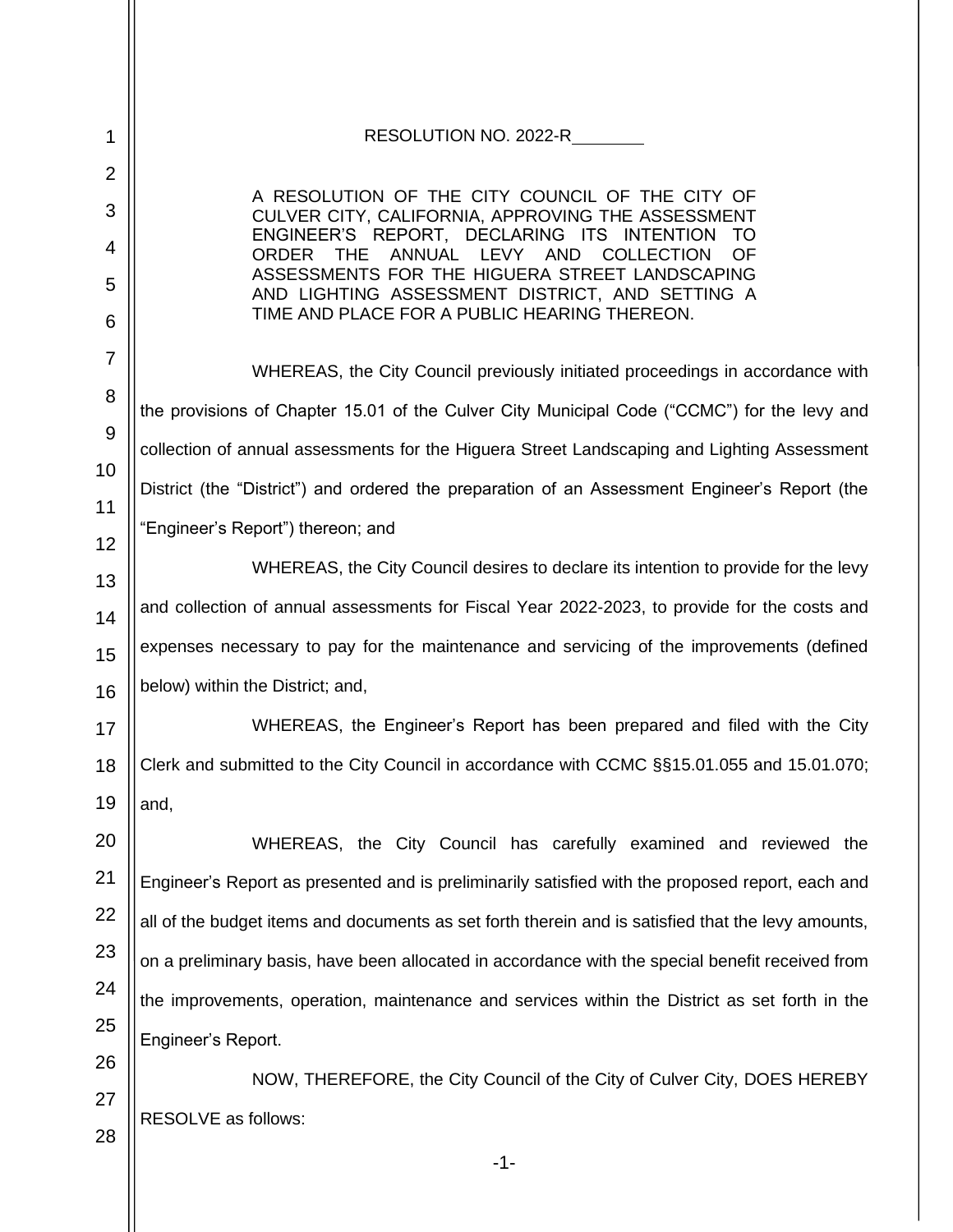| RESOLUTION NO. 2022-R                                                                                                                      |
|--------------------------------------------------------------------------------------------------------------------------------------------|
|                                                                                                                                            |
| A RESOLUTION OF THE CITY COUNCIL OF THE CITY OF<br>CULVER CITY, CALIFORNIA, APPROVING THE ASSESSMENT                                       |
| ENGINEER'S REPORT, DECLARING ITS INTENTION<br><b>TO</b><br><b>THE</b><br>ANNUAL LEVY AND<br><b>COLLECTION</b><br><b>OF</b><br><b>ORDER</b> |
| ASSESSMENTS FOR THE HIGUERA STREET LANDSCAPING<br>AND LIGHTING ASSESSMENT DISTRICT, AND SETTING A                                          |
| TIME AND PLACE FOR A PUBLIC HEARING THEREON.                                                                                               |
| WHEREAS, the City Council previously initiated proceedings in accordance with                                                              |
| the provisions of Chapter 15.01 of the Culver City Municipal Code ("CCMC") for the levy and                                                |
| collection of annual assessments for the Higuera Street Landscaping and Lighting Assessment                                                |
| District (the "District") and ordered the preparation of an Assessment Engineer's Report (the                                              |
| "Engineer's Report") thereon; and                                                                                                          |
| WHEREAS, the City Council desires to declare its intention to provide for the levy                                                         |
| and collection of annual assessments for Fiscal Year 2022-2023, to provide for the costs and                                               |
| expenses necessary to pay for the maintenance and servicing of the improvements (defined                                                   |
| below) within the District; and,                                                                                                           |
| WHEREAS, the Engineer's Report has been prepared and filed with the City                                                                   |
| Clerk and submitted to the City Council in accordance with CCMC §§15.01.055 and 15.01.070;                                                 |
| and,                                                                                                                                       |
| WHEREAS, the City Council has carefully examined and reviewed the                                                                          |
| Engineer's Report as presented and is preliminarily satisfied with the proposed report, each and                                           |
| all of the budget items and documents as set forth therein and is satisfied that the levy amounts,                                         |
| on a preliminary basis, have been allocated in accordance with the special benefit received from                                           |
| the improvements, operation, maintenance and services within the District as set forth in the                                              |
| Engineer's Report.                                                                                                                         |
| NOW, THEREFORE, the City Council of the City of Culver City, DOES HEREBY                                                                   |
| RESOLVE as follows:                                                                                                                        |
| -1-                                                                                                                                        |
|                                                                                                                                            |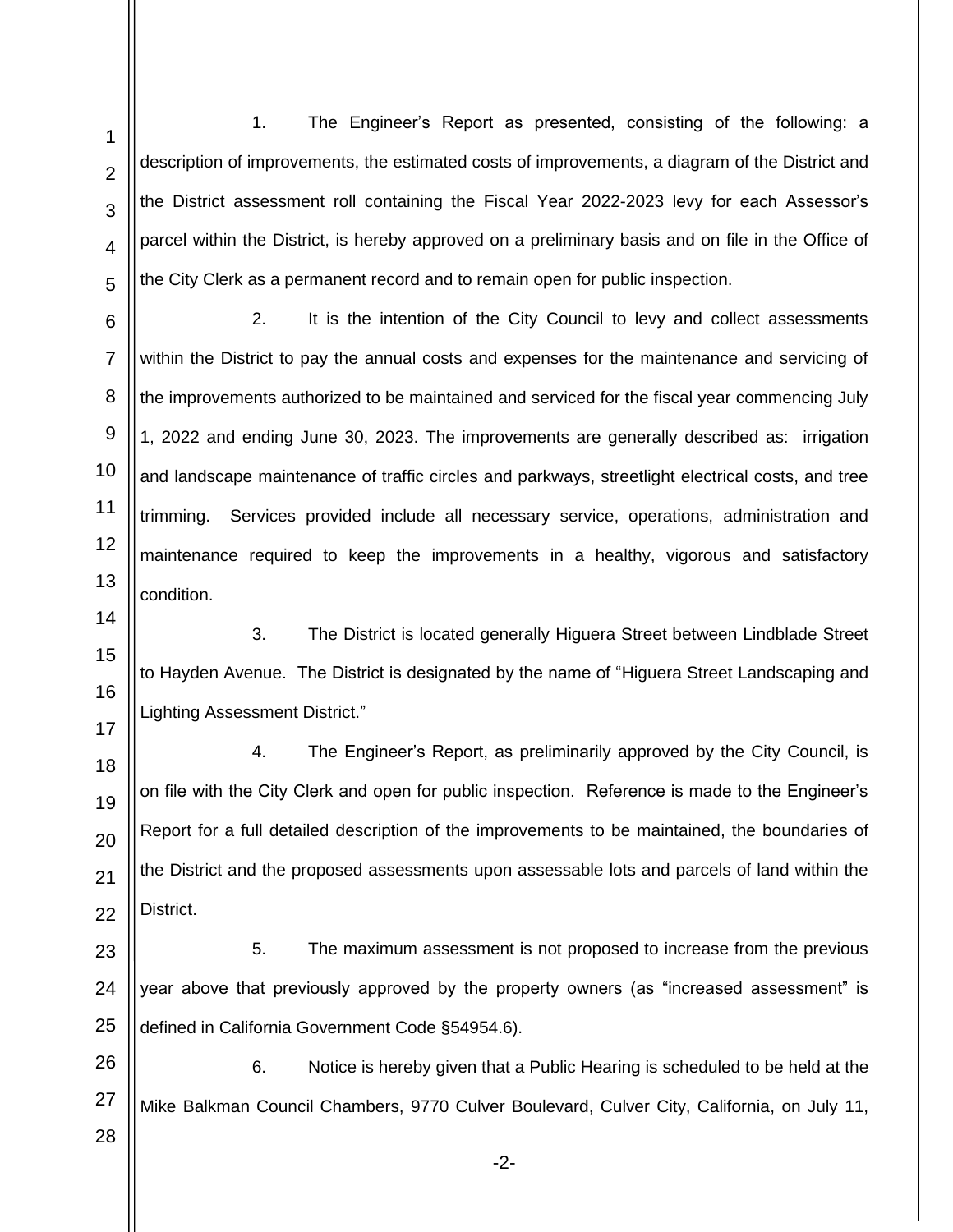1. The Engineer's Report as presented, consisting of the following: a description of improvements, the estimated costs of improvements, a diagram of the District and the District assessment roll containing the Fiscal Year 2022-2023 levy for each Assessor's parcel within the District, is hereby approved on a preliminary basis and on file in the Office of the City Clerk as a permanent record and to remain open for public inspection.

2. It is the intention of the City Council to levy and collect assessments within the District to pay the annual costs and expenses for the maintenance and servicing of the improvements authorized to be maintained and serviced for the fiscal year commencing July 1, 2022 and ending June 30, 2023. The improvements are generally described as: irrigation and landscape maintenance of traffic circles and parkways, streetlight electrical costs, and tree trimming. Services provided include all necessary service, operations, administration and maintenance required to keep the improvements in a healthy, vigorous and satisfactory condition.

3. The District is located generally Higuera Street between Lindblade Street to Hayden Avenue. The District is designated by the name of "Higuera Street Landscaping and Lighting Assessment District."

4. The Engineer's Report, as preliminarily approved by the City Council, is on file with the City Clerk and open for public inspection. Reference is made to the Engineer's Report for a full detailed description of the improvements to be maintained, the boundaries of the District and the proposed assessments upon assessable lots and parcels of land within the District.

23 24 25 5. The maximum assessment is not proposed to increase from the previous year above that previously approved by the property owners (as "increased assessment" is defined in California Government Code §54954.6).

26 27 6. Notice is hereby given that a Public Hearing is scheduled to be held at the Mike Balkman Council Chambers, 9770 Culver Boulevard, Culver City, California, on July 11,

28

1

2

3

4

5

6

7

8

9

10

11

12

13

14

15

16

17

18

19

20

21

22

-2-